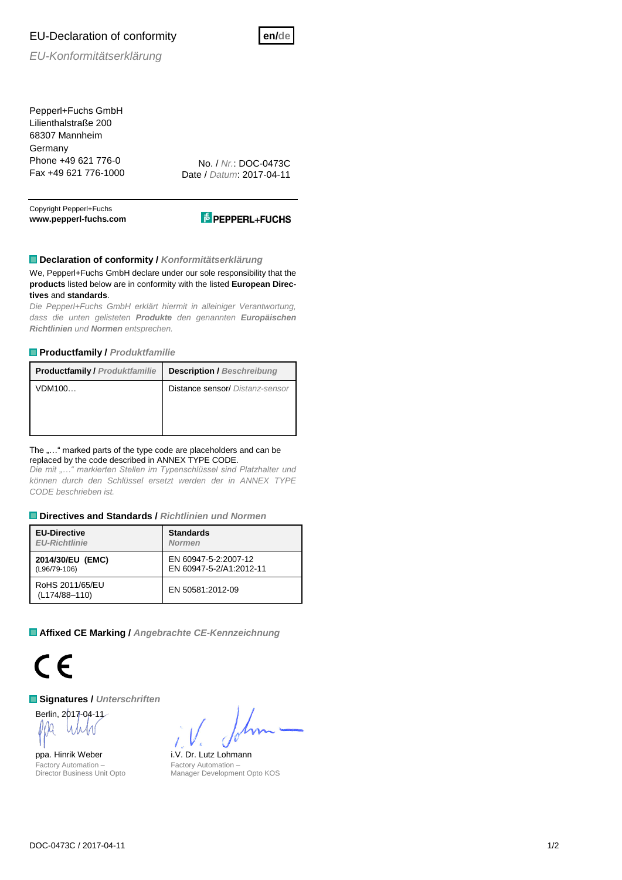# EU-Declaration of conformity



*EU-Konformitätserklärung*

Pepperl+Fuchs GmbH Lilienthalstraße 200 68307 Mannheim **Germany** Phone +49 621 776-0 Fax +49 621 776-1000

No. / *Nr.*: DOC-0473C Date / *Datum*: 2017-04-11

Copyright Pepperl+Fuchs **www.pepperl-fuchs.com**



## **Declaration of conformity /** *Konformitätserklärung*

We, Pepperl+Fuchs GmbH declare under our sole responsibility that the **products** listed below are in conformity with the listed **European Directives** and **standards**.

*Die Pepperl+Fuchs GmbH erklärt hiermit in alleiniger Verantwortung, dass die unten gelisteten Produkte den genannten Europäischen Richtlinien und Normen entsprechen.*

### **Productfamily /** *Produktfamilie*

| <b>Productfamily / Produktfamilie</b> | <b>Description / Beschreibung</b> |
|---------------------------------------|-----------------------------------|
| VDM100                                | Distance sensor/ Distanz-sensor   |
|                                       |                                   |
|                                       |                                   |

#### The "..." marked parts of the type code are placeholders and can be replaced by the code described in ANNEX TYPE CODE.

*Die mit "…" markierten Stellen im Typenschlüssel sind Platzhalter und können durch den Schlüssel ersetzt werden der in ANNEX TYPE CODE beschrieben ist.*

### **Directives and Standards /** *Richtlinien und Normen*

| <b>EU-Directive</b>              | <b>Standards</b>        |  |  |  |
|----------------------------------|-------------------------|--|--|--|
| <b>EU-Richtlinie</b>             | <b>Normen</b>           |  |  |  |
| 2014/30/EU (EMC)                 | EN 60947-5-2:2007-12    |  |  |  |
| (L96/79-106)                     | EN 60947-5-2/A1:2012-11 |  |  |  |
| RoHS 2011/65/EU<br>(L174/88-110) | EN 50581:2012-09        |  |  |  |

**Affixed CE Marking /** *Angebrachte CE-Kennzeichnung*



**Signatures /** *Unterschriften*

Berlin, 2017-04-11

ppa. Hinrik Weber i.V. Dr. Lutz Lohmann Factory Automation – Director Business Unit Opto

Factory Automation – Manager Development Opto KOS